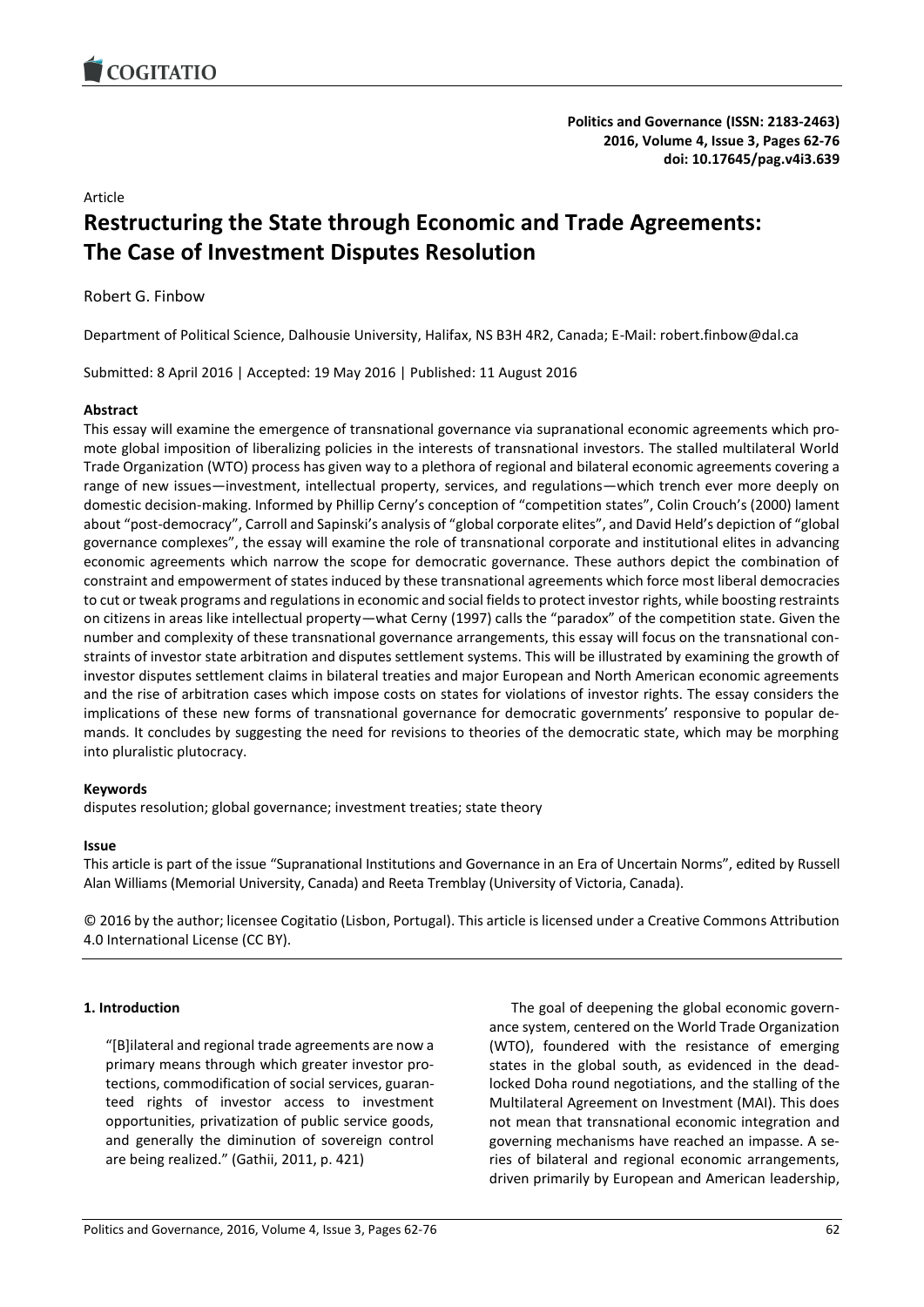

**Politics and Governance (ISSN: 2183-2463) 2016, Volume 4, Issue 3, Pages 62-76 doi: 10.17645/pag.v4i3.639**

Article

# **Restructuring the State through Economic and Trade Agreements: The Case of Investment Disputes Resolution**

Robert G. Finbow

Department of Political Science, Dalhousie University, Halifax, NS B3H 4R2, Canada; E-Mail: robert.finbow@dal.ca

Submitted: 8 April 2016 | Accepted: 19 May 2016 | Published: 11 August 2016

## **Abstract**

This essay will examine the emergence of transnational governance via supranational economic agreements which promote global imposition of liberalizing policies in the interests of transnational investors. The stalled multilateral World Trade Organization (WTO) process has given way to a plethora of regional and bilateral economic agreements covering a range of new issues—investment, intellectual property, services, and regulations—which trench ever more deeply on domestic decision-making. Informed by Phillip Cerny's conception of "competition states", Colin Crouch's (2000) lament about "post-democracy", Carroll and Sapinski's analysis of "global corporate elites", and David Held's depiction of "global governance complexes", the essay will examine the role of transnational corporate and institutional elites in advancing economic agreements which narrow the scope for democratic governance. These authors depict the combination of constraint and empowerment of states induced by these transnational agreements which force most liberal democracies to cut or tweak programs and regulations in economic and social fields to protect investor rights, while boosting restraints on citizens in areas like intellectual property—what Cerny (1997) calls the "paradox" of the competition state. Given the number and complexity of these transnational governance arrangements, this essay will focus on the transnational constraints of investor state arbitration and disputes settlement systems. This will be illustrated by examining the growth of investor disputes settlement claims in bilateral treaties and major European and North American economic agreements and the rise of arbitration cases which impose costs on states for violations of investor rights. The essay considers the implications of these new forms of transnational governance for democratic governments' responsive to popular demands. It concludes by suggesting the need for revisions to theories of the democratic state, which may be morphing into pluralistic plutocracy.

## **Keywords**

disputes resolution; global governance; investment treaties; state theory

## **Issue**

This article is part of the issue "Supranational Institutions and Governance in an Era of Uncertain Norms", edited by Russell Alan Williams (Memorial University, Canada) and Reeta Tremblay (University of Victoria, Canada).

© 2016 by the author; licensee Cogitatio (Lisbon, Portugal). This article is licensed under a Creative Commons Attribution 4.0 International License (CC BY).

## **1. Introduction**

"[B]ilateral and regional trade agreements are now a primary means through which greater investor protections, commodification of social services, guaranteed rights of investor access to investment opportunities, privatization of public service goods, and generally the diminution of sovereign control are being realized." (Gathii, 2011, p. 421)

The goal of deepening the global economic governance system, centered on the World Trade Organization (WTO), foundered with the resistance of emerging states in the global south, as evidenced in the deadlocked Doha round negotiations, and the stalling of the Multilateral Agreement on Investment (MAI). This does not mean that transnational economic integration and governing mechanisms have reached an impasse. A series of bilateral and regional economic arrangements, driven primarily by European and American leadership,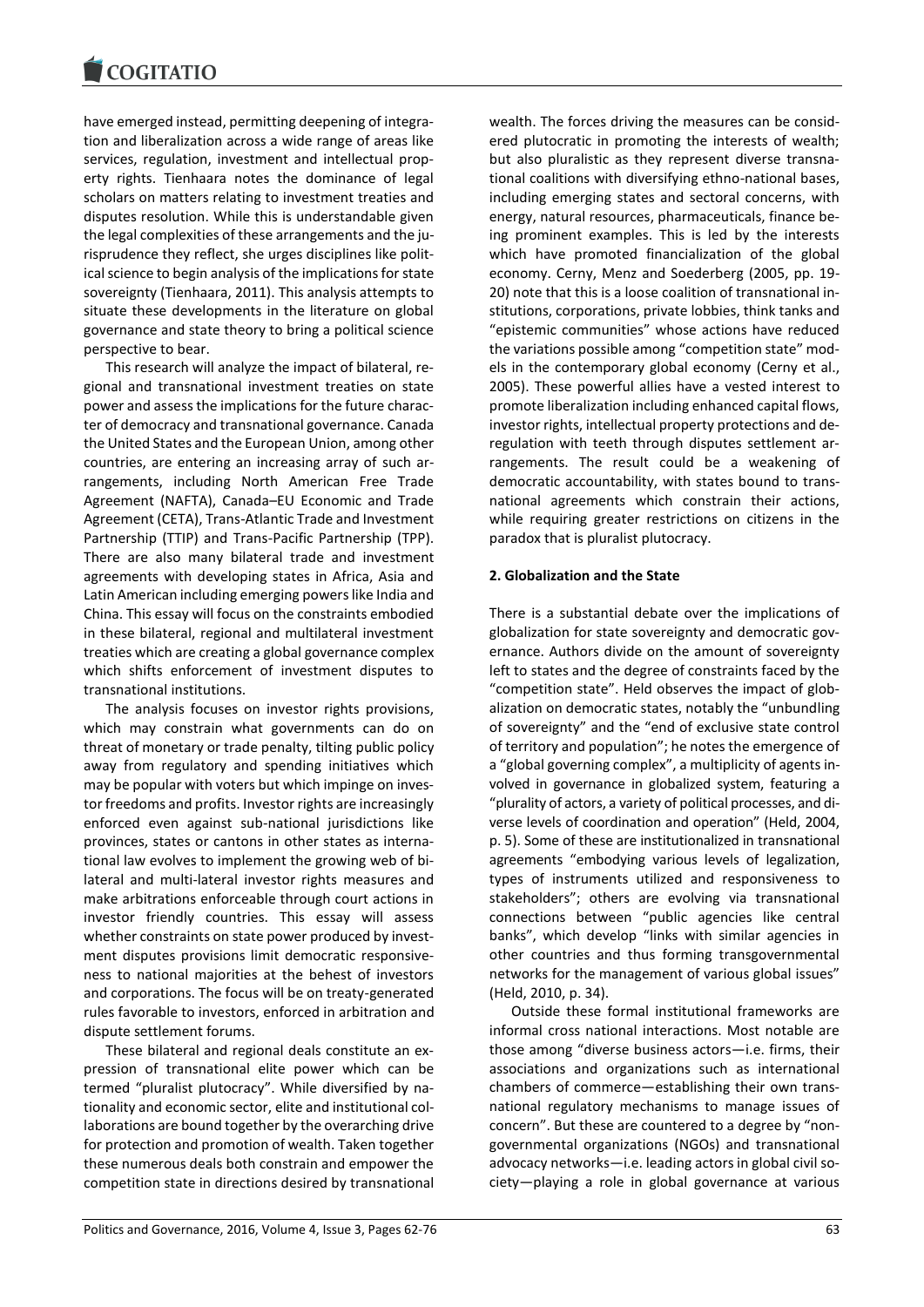have emerged instead, permitting deepening of integration and liberalization across a wide range of areas like services, regulation, investment and intellectual property rights. Tienhaara notes the dominance of legal scholars on matters relating to investment treaties and disputes resolution. While this is understandable given the legal complexities of these arrangements and the jurisprudence they reflect, she urges disciplines like political science to begin analysis of the implications for state sovereignty (Tienhaara, 2011). This analysis attempts to situate these developments in the literature on global governance and state theory to bring a political science perspective to bear.

This research will analyze the impact of bilateral, regional and transnational investment treaties on state power and assess the implications for the future character of democracy and transnational governance. Canada the United States and the European Union, among other countries, are entering an increasing array of such arrangements, including North American Free Trade Agreement (NAFTA), Canada–EU Economic and Trade Agreement (CETA), Trans-Atlantic Trade and Investment Partnership (TTIP) and Trans-Pacific Partnership (TPP). There are also many bilateral trade and investment agreements with developing states in Africa, Asia and Latin American including emerging powers like India and China. This essay will focus on the constraints embodied in these bilateral, regional and multilateral investment treaties which are creating a global governance complex which shifts enforcement of investment disputes to transnational institutions.

The analysis focuses on investor rights provisions, which may constrain what governments can do on threat of monetary or trade penalty, tilting public policy away from regulatory and spending initiatives which may be popular with voters but which impinge on investor freedoms and profits. Investor rights are increasingly enforced even against sub-national jurisdictions like provinces, states or cantons in other states as international law evolves to implement the growing web of bilateral and multi-lateral investor rights measures and make arbitrations enforceable through court actions in investor friendly countries. This essay will assess whether constraints on state power produced by investment disputes provisions limit democratic responsiveness to national majorities at the behest of investors and corporations. The focus will be on treaty-generated rules favorable to investors, enforced in arbitration and dispute settlement forums.

These bilateral and regional deals constitute an expression of transnational elite power which can be termed "pluralist plutocracy". While diversified by nationality and economic sector, elite and institutional collaborations are bound together by the overarching drive for protection and promotion of wealth. Taken together these numerous deals both constrain and empower the competition state in directions desired by transnational wealth. The forces driving the measures can be considered plutocratic in promoting the interests of wealth; but also pluralistic as they represent diverse transnational coalitions with diversifying ethno-national bases, including emerging states and sectoral concerns, with energy, natural resources, pharmaceuticals, finance being prominent examples. This is led by the interests which have promoted financialization of the global economy. Cerny, Menz and Soederberg (2005, pp. 19- 20) note that this is a loose coalition of transnational institutions, corporations, private lobbies, think tanks and "epistemic communities" whose actions have reduced the variations possible among "competition state" models in the contemporary global economy (Cerny et al., 2005). These powerful allies have a vested interest to promote liberalization including enhanced capital flows, investor rights, intellectual property protections and deregulation with teeth through disputes settlement arrangements. The result could be a weakening of democratic accountability, with states bound to transnational agreements which constrain their actions, while requiring greater restrictions on citizens in the paradox that is pluralist plutocracy.

#### **2. Globalization and the State**

There is a substantial debate over the implications of globalization for state sovereignty and democratic governance. Authors divide on the amount of sovereignty left to states and the degree of constraints faced by the "competition state". Held observes the impact of globalization on democratic states, notably the "unbundling of sovereignty" and the "end of exclusive state control of territory and population"; he notes the emergence of a "global governing complex", a multiplicity of agents involved in governance in globalized system, featuring a "plurality of actors, a variety of political processes, and diverse levels of coordination and operation" (Held, 2004, p. 5). Some of these are institutionalized in transnational agreements "embodying various levels of legalization, types of instruments utilized and responsiveness to stakeholders"; others are evolving via transnational connections between "public agencies like central banks", which develop "links with similar agencies in other countries and thus forming transgovernmental networks for the management of various global issues" (Held, 2010, p. 34).

Outside these formal institutional frameworks are informal cross national interactions. Most notable are those among "diverse business actors—i.e. firms, their associations and organizations such as international chambers of commerce—establishing their own transnational regulatory mechanisms to manage issues of concern". But these are countered to a degree by "nongovernmental organizations (NGOs) and transnational advocacy networks—i.e. leading actors in global civil society—playing a role in global governance at various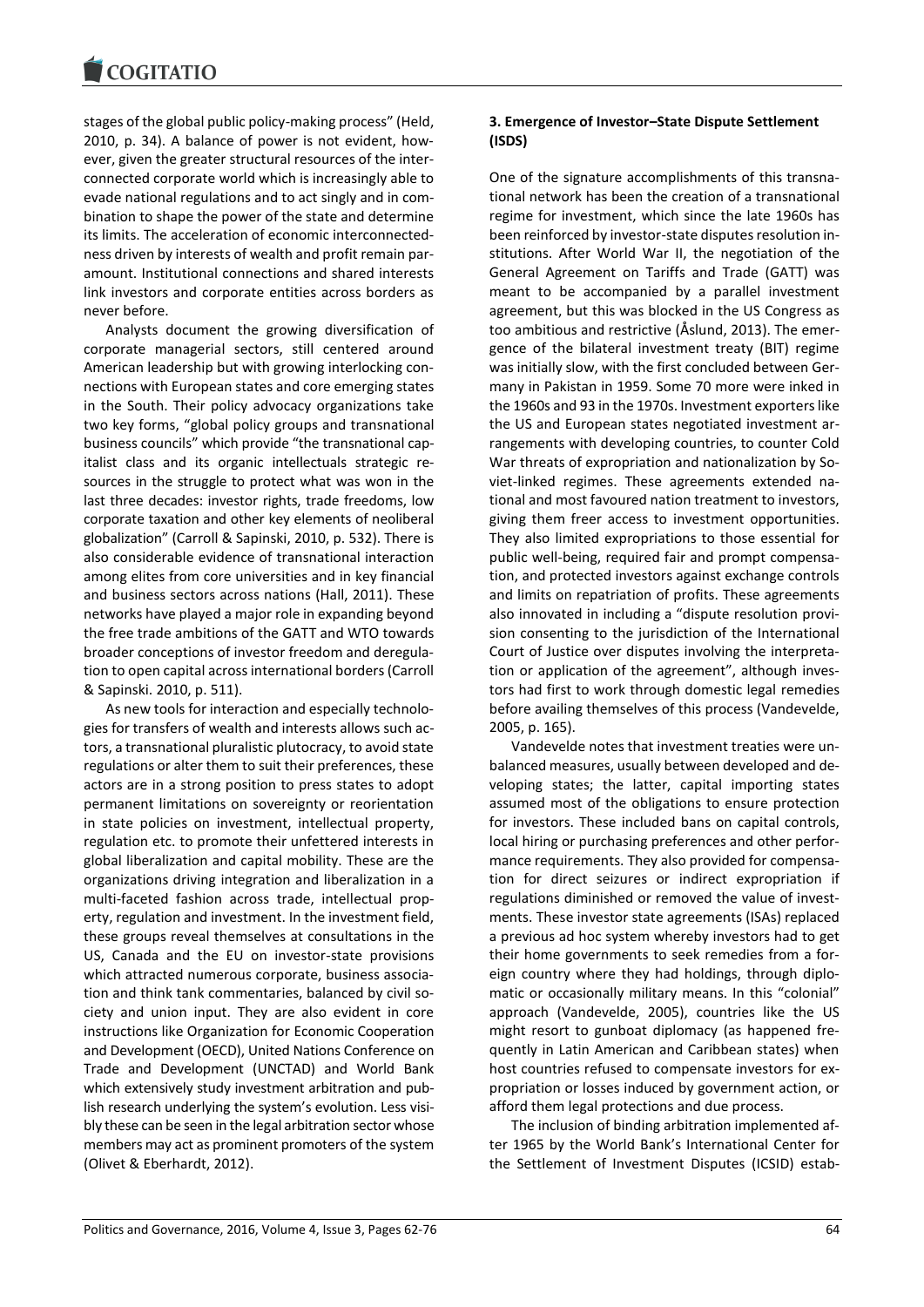stages of the global public policy-making process" (Held, 2010, p. 34). A balance of power is not evident, however, given the greater structural resources of the interconnected corporate world which is increasingly able to evade national regulations and to act singly and in combination to shape the power of the state and determine its limits. The acceleration of economic interconnectedness driven by interests of wealth and profit remain paramount. Institutional connections and shared interests link investors and corporate entities across borders as never before.

Analysts document the growing diversification of corporate managerial sectors, still centered around American leadership but with growing interlocking connections with European states and core emerging states in the South. Their policy advocacy organizations take two key forms, "global policy groups and transnational business councils" which provide "the transnational capitalist class and its organic intellectuals strategic resources in the struggle to protect what was won in the last three decades: investor rights, trade freedoms, low corporate taxation and other key elements of neoliberal globalization" (Carroll & Sapinski, 2010, p. 532). There is also considerable evidence of transnational interaction among elites from core universities and in key financial and business sectors across nations (Hall, 2011). These networks have played a major role in expanding beyond the free trade ambitions of the GATT and WTO towards broader conceptions of investor freedom and deregulation to open capital across international borders (Carroll & Sapinski. 2010, p. 511).

As new tools for interaction and especially technologies for transfers of wealth and interests allows such actors, a transnational pluralistic plutocracy, to avoid state regulations or alter them to suit their preferences, these actors are in a strong position to press states to adopt permanent limitations on sovereignty or reorientation in state policies on investment, intellectual property, regulation etc. to promote their unfettered interests in global liberalization and capital mobility. These are the organizations driving integration and liberalization in a multi-faceted fashion across trade, intellectual property, regulation and investment. In the investment field, these groups reveal themselves at consultations in the US, Canada and the EU on investor-state provisions which attracted numerous corporate, business association and think tank commentaries, balanced by civil society and union input. They are also evident in core instructions like Organization for Economic Cooperation and Development (OECD), United Nations Conference on Trade and Development (UNCTAD) and World Bank which extensively study investment arbitration and publish research underlying the system's evolution. Less visibly these can be seen in the legal arbitration sector whose members may act as prominent promoters of the system (Olivet & Eberhardt, 2012).

# **3. Emergence of Investor–State Dispute Settlement (ISDS)**

One of the signature accomplishments of this transnational network has been the creation of a transnational regime for investment, which since the late 1960s has been reinforced by investor-state disputes resolution institutions. After World War II, the negotiation of the General Agreement on Tariffs and Trade (GATT) was meant to be accompanied by a parallel investment agreement, but this was blocked in the US Congress as too ambitious and restrictive (Åslund, 2013). The emergence of the bilateral investment treaty (BIT) regime was initially slow, with the first concluded between Germany in Pakistan in 1959. Some 70 more were inked in the 1960s and 93 in the 1970s. Investment exporters like the US and European states negotiated investment arrangements with developing countries, to counter Cold War threats of expropriation and nationalization by Soviet-linked regimes. These agreements extended national and most favoured nation treatment to investors, giving them freer access to investment opportunities. They also limited expropriations to those essential for public well-being, required fair and prompt compensation, and protected investors against exchange controls and limits on repatriation of profits. These agreements also innovated in including a "dispute resolution provision consenting to the jurisdiction of the International Court of Justice over disputes involving the interpretation or application of the agreement", although investors had first to work through domestic legal remedies before availing themselves of this process (Vandevelde, 2005, p. 165).

Vandevelde notes that investment treaties were unbalanced measures, usually between developed and developing states; the latter, capital importing states assumed most of the obligations to ensure protection for investors. These included bans on capital controls, local hiring or purchasing preferences and other performance requirements. They also provided for compensation for direct seizures or indirect expropriation if regulations diminished or removed the value of investments. These investor state agreements (ISAs) replaced a previous ad hoc system whereby investors had to get their home governments to seek remedies from a foreign country where they had holdings, through diplomatic or occasionally military means. In this "colonial" approach (Vandevelde, 2005), countries like the US might resort to gunboat diplomacy (as happened frequently in Latin American and Caribbean states) when host countries refused to compensate investors for expropriation or losses induced by government action, or afford them legal protections and due process.

The inclusion of binding arbitration implemented after 1965 by the World Bank's International Center for the Settlement of Investment Disputes (ICSID) estab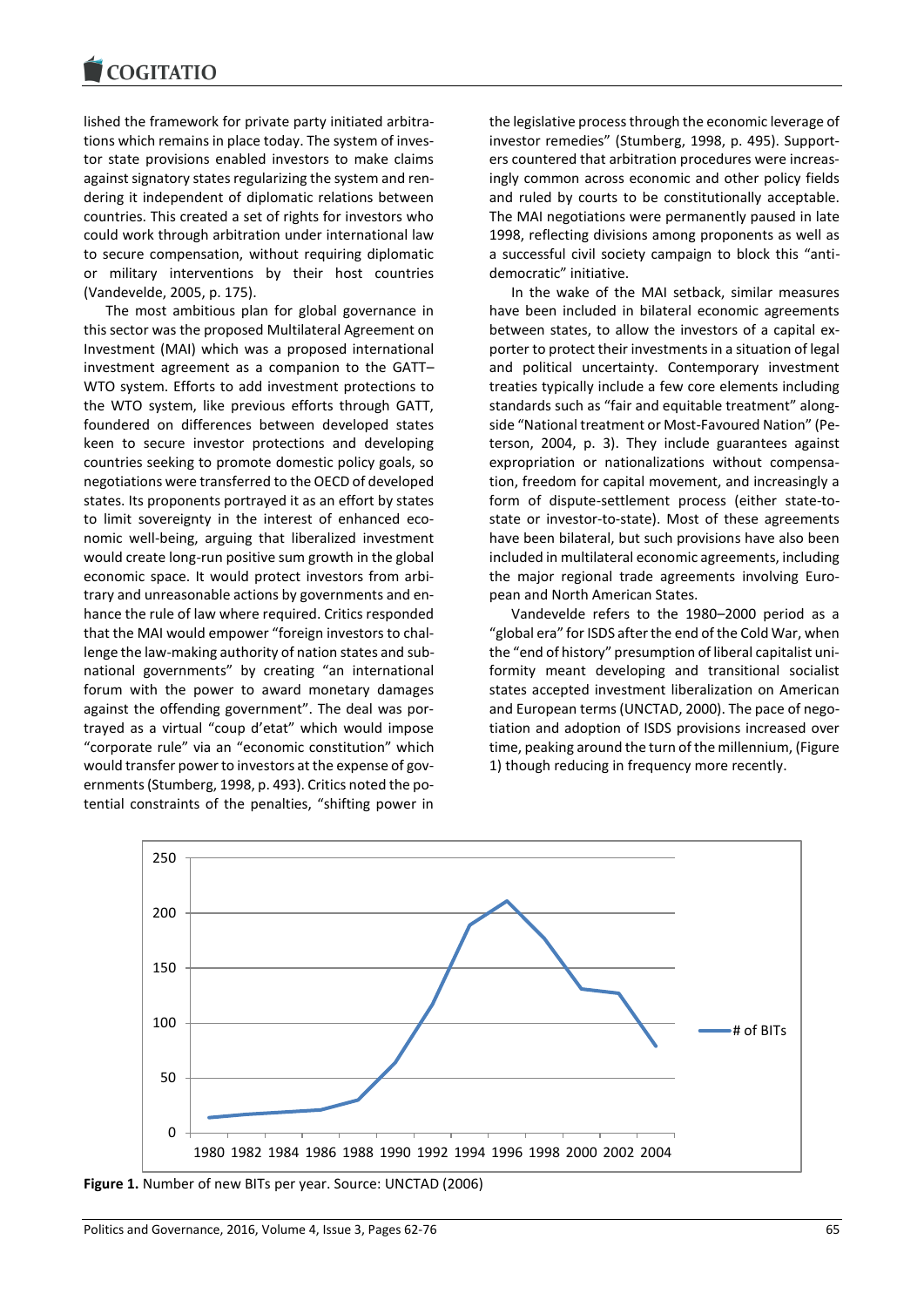lished the framework for private party initiated arbitrations which remains in place today. The system of investor state provisions enabled investors to make claims against signatory states regularizing the system and rendering it independent of diplomatic relations between countries. This created a set of rights for investors who could work through arbitration under international law to secure compensation, without requiring diplomatic or military interventions by their host countries (Vandevelde, 2005, p. 175).

The most ambitious plan for global governance in this sector was the proposed Multilateral Agreement on Investment (MAI) which was a proposed international investment agreement as a companion to the GATT– WTO system. Efforts to add investment protections to the WTO system, like previous efforts through GATT, foundered on differences between developed states keen to secure investor protections and developing countries seeking to promote domestic policy goals, so negotiations were transferred to the OECD of developed states. Its proponents portrayed it as an effort by states to limit sovereignty in the interest of enhanced economic well-being, arguing that liberalized investment would create long-run positive sum growth in the global economic space. It would protect investors from arbitrary and unreasonable actions by governments and enhance the rule of law where required. Critics responded that the MAI would empower "foreign investors to challenge the law-making authority of nation states and subnational governments" by creating "an international forum with the power to award monetary damages against the offending government". The deal was portrayed as a virtual "coup d'etat" which would impose "corporate rule" via an "economic constitution" which would transfer power to investors at the expense of governments (Stumberg, 1998, p. 493). Critics noted the potential constraints of the penalties, "shifting power in

the legislative process through the economic leverage of investor remedies" (Stumberg, 1998, p. 495). Supporters countered that arbitration procedures were increasingly common across economic and other policy fields and ruled by courts to be constitutionally acceptable. The MAI negotiations were permanently paused in late 1998, reflecting divisions among proponents as well as a successful civil society campaign to block this "antidemocratic" initiative.

In the wake of the MAI setback, similar measures have been included in bilateral economic agreements between states, to allow the investors of a capital exporter to protect their investments in a situation of legal and political uncertainty. Contemporary investment treaties typically include a few core elements including standards such as "fair and equitable treatment" alongside "National treatment or Most-Favoured Nation" (Peterson, 2004, p. 3). They include guarantees against expropriation or nationalizations without compensation, freedom for capital movement, and increasingly a form of dispute-settlement process (either state-tostate or investor-to-state). Most of these agreements have been bilateral, but such provisions have also been included in multilateral economic agreements, including the major regional trade agreements involving European and North American States.

Vandevelde refers to the 1980–2000 period as a "global era" for ISDS after the end of the Cold War, when the "end of history" presumption of liberal capitalist uniformity meant developing and transitional socialist states accepted investment liberalization on American and European terms(UNCTAD, 2000). The pace of negotiation and adoption of ISDS provisions increased over time, peaking around the turn of the millennium, (Figure 1) though reducing in frequency more recently.



**Figure 1.** Number of new BITs per year. Source: UNCTAD (2006)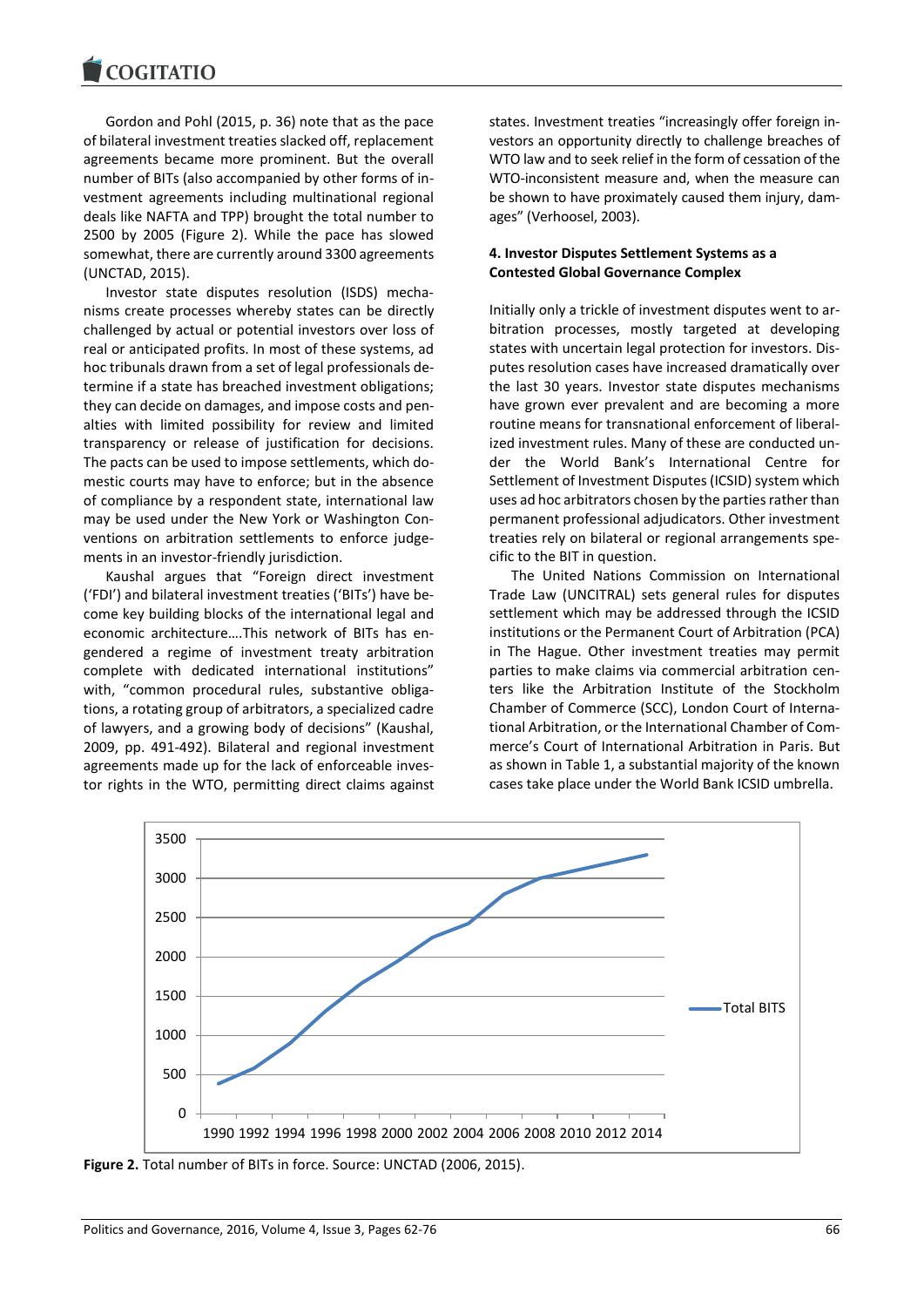Gordon and Pohl (2015, p. 36) note that as the pace of bilateral investment treaties slacked off, replacement agreements became more prominent. But the overall number of BITs (also accompanied by other forms of investment agreements including multinational regional deals like NAFTA and TPP) brought the total number to 2500 by 2005 (Figure 2). While the pace has slowed somewhat, there are currently around 3300 agreements (UNCTAD, 2015).

Investor state disputes resolution (ISDS) mechanisms create processes whereby states can be directly challenged by actual or potential investors over loss of real or anticipated profits. In most of these systems, ad hoc tribunals drawn from a set of legal professionals determine if a state has breached investment obligations; they can decide on damages, and impose costs and penalties with limited possibility for review and limited transparency or release of justification for decisions. The pacts can be used to impose settlements, which domestic courts may have to enforce; but in the absence of compliance by a respondent state, international law may be used under the New York or Washington Conventions on arbitration settlements to enforce judgements in an investor-friendly jurisdiction.

Kaushal argues that "Foreign direct investment ('FDI') and bilateral investment treaties ('BITs') have become key building blocks of the international legal and economic architecture….This network of BITs has engendered a regime of investment treaty arbitration complete with dedicated international institutions" with, "common procedural rules, substantive obligations, a rotating group of arbitrators, a specialized cadre of lawyers, and a growing body of decisions" (Kaushal, 2009, pp. 491-492). Bilateral and regional investment agreements made up for the lack of enforceable investor rights in the WTO, permitting direct claims against states. Investment treaties "increasingly offer foreign investors an opportunity directly to challenge breaches of WTO law and to seek relief in the form of cessation of the WTO-inconsistent measure and, when the measure can be shown to have proximately caused them injury, damages" (Verhoosel, 2003).

# **4. Investor Disputes Settlement Systems as a Contested Global Governance Complex**

Initially only a trickle of investment disputes went to arbitration processes, mostly targeted at developing states with uncertain legal protection for investors. Disputes resolution cases have increased dramatically over the last 30 years. Investor state disputes mechanisms have grown ever prevalent and are becoming a more routine means for transnational enforcement of liberalized investment rules. Many of these are conducted under the World Bank's International Centre for Settlement of Investment Disputes (ICSID) system which uses ad hoc arbitrators chosen by the parties rather than permanent professional adjudicators. Other investment treaties rely on bilateral or regional arrangements specific to the BIT in question.

The United Nations Commission on International Trade Law (UNCITRAL) sets general rules for disputes settlement which may be addressed through the ICSID institutions or the Permanent Court of Arbitration (PCA) in The Hague. Other investment treaties may permit parties to make claims via commercial arbitration centers like the Arbitration Institute of the Stockholm Chamber of Commerce (SCC), London Court of International Arbitration, or the International Chamber of Commerce's Court of International Arbitration in Paris. But as shown in Table 1, a substantial majority of the known cases take place under the World Bank ICSID umbrella.



**Figure 2.** Total number of BITs in force. Source: UNCTAD (2006, 2015).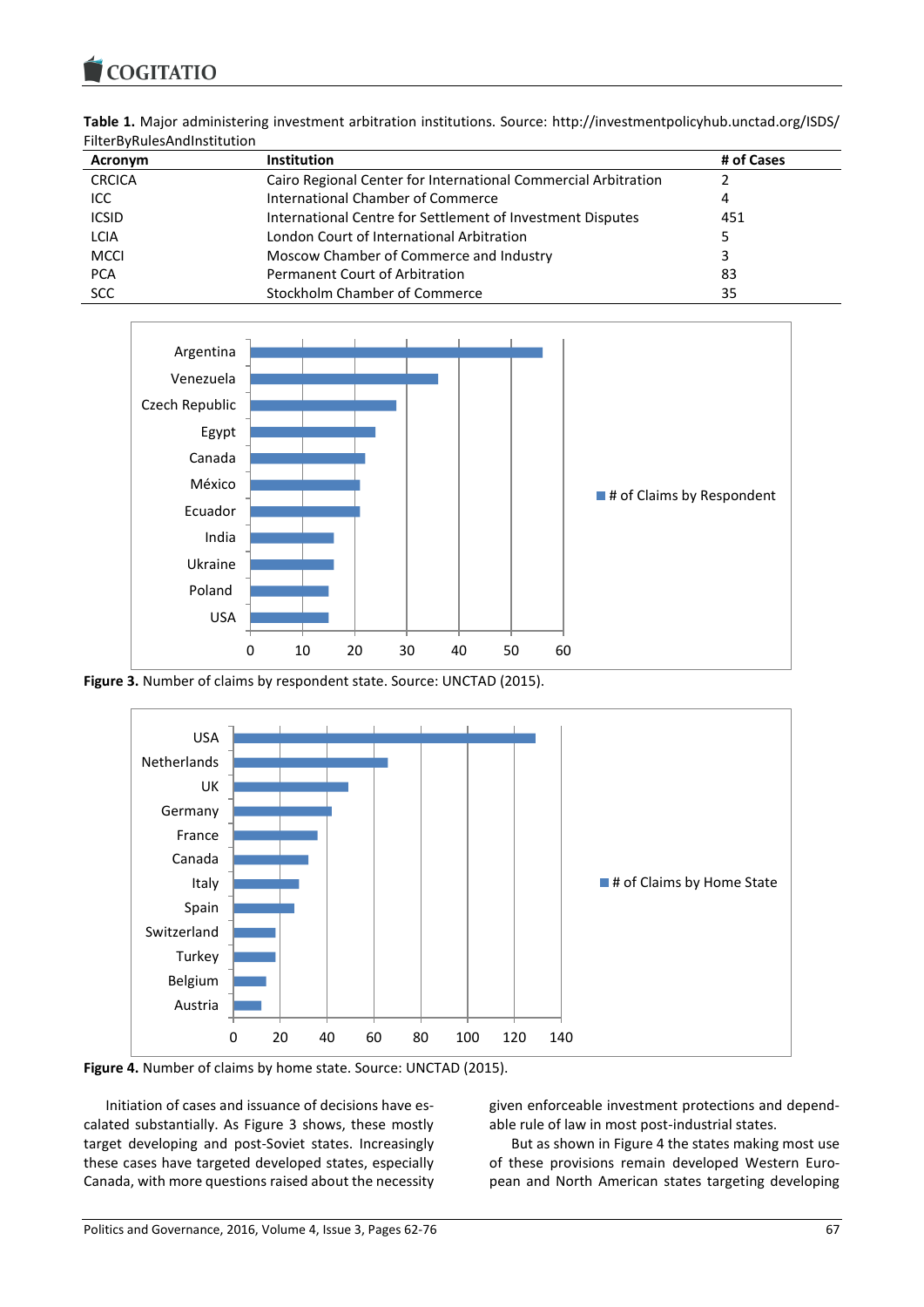| Table 1. Major administering investment arbitration institutions. Source: http://investmentpolicyhub.unctad.org/ISDS/ |  |  |
|-----------------------------------------------------------------------------------------------------------------------|--|--|
| FilterByRulesAndInstitution                                                                                           |  |  |

| Acronym       | <b>Institution</b>                                             | # of Cases |  |  |
|---------------|----------------------------------------------------------------|------------|--|--|
| <b>CRCICA</b> | Cairo Regional Center for International Commercial Arbitration |            |  |  |
| ICC.          | International Chamber of Commerce                              | 4          |  |  |
| <b>ICSID</b>  | International Centre for Settlement of Investment Disputes     | 451        |  |  |
| <b>LCIA</b>   | London Court of International Arbitration                      |            |  |  |
| <b>MCCI</b>   | Moscow Chamber of Commerce and Industry                        |            |  |  |
| <b>PCA</b>    | <b>Permanent Court of Arbitration</b>                          | 83         |  |  |
| <b>SCC</b>    | Stockholm Chamber of Commerce                                  | 35         |  |  |
|               |                                                                |            |  |  |



**Figure 3.** Number of claims by respondent state. Source: UNCTAD (2015).



**Figure 4.** Number of claims by home state. Source: UNCTAD (2015).

Initiation of cases and issuance of decisions have escalated substantially. As Figure 3 shows, these mostly target developing and post-Soviet states. Increasingly these cases have targeted developed states, especially Canada, with more questions raised about the necessity given enforceable investment protections and dependable rule of law in most post-industrial states.

But as shown in Figure 4 the states making most use of these provisions remain developed Western European and North American states targeting developing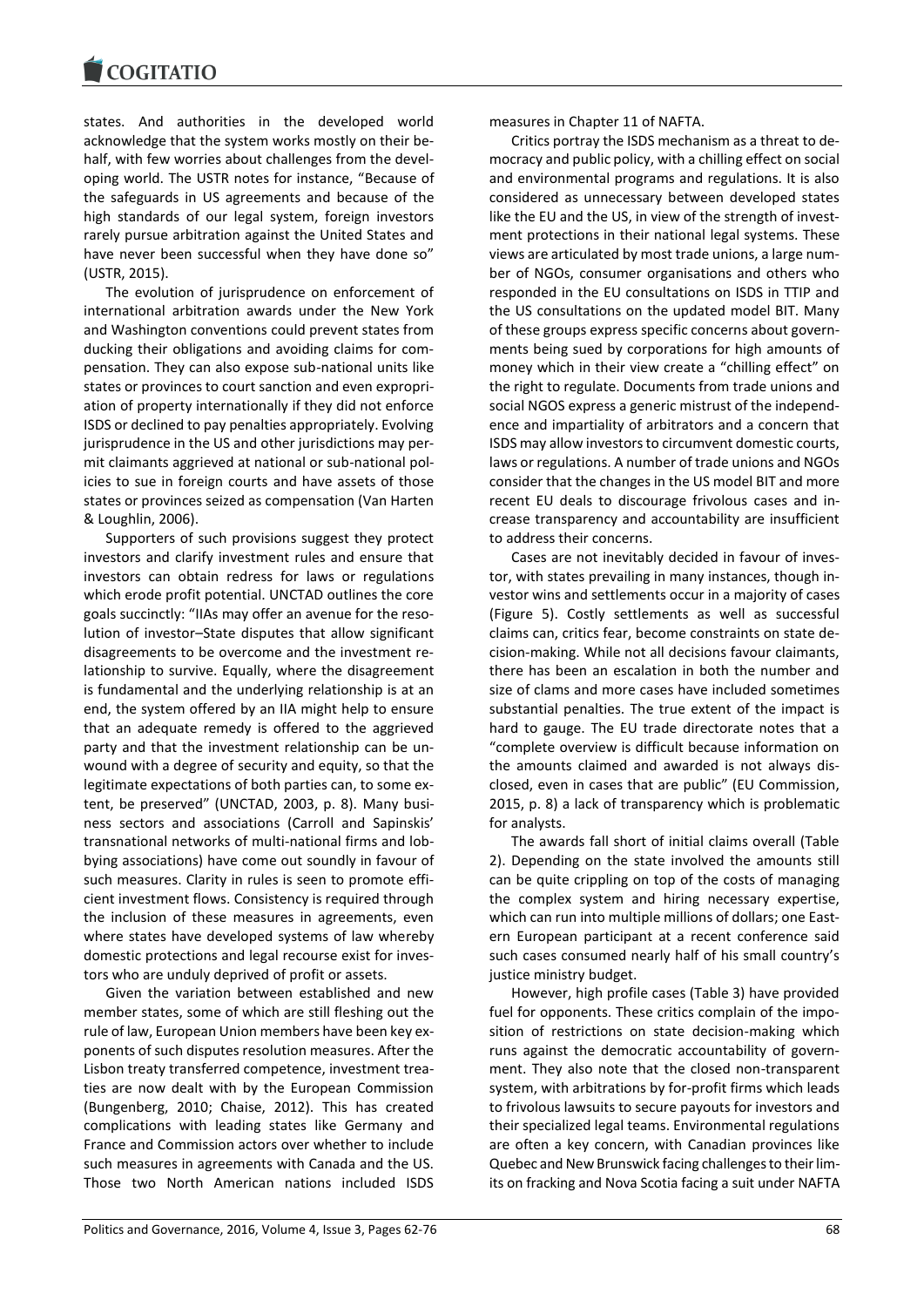states. And authorities in the developed world acknowledge that the system works mostly on their behalf, with few worries about challenges from the developing world. The USTR notes for instance, "Because of the safeguards in US agreements and because of the high standards of our legal system, foreign investors rarely pursue arbitration against the United States and have never been successful when they have done so" (USTR, 2015).

The evolution of jurisprudence on enforcement of international arbitration awards under the New York and Washington conventions could prevent states from ducking their obligations and avoiding claims for compensation. They can also expose sub-national units like states or provinces to court sanction and even expropriation of property internationally if they did not enforce ISDS or declined to pay penalties appropriately. Evolving jurisprudence in the US and other jurisdictions may permit claimants aggrieved at national or sub-national policies to sue in foreign courts and have assets of those states or provinces seized as compensation (Van Harten & Loughlin, 2006).

Supporters of such provisions suggest they protect investors and clarify investment rules and ensure that investors can obtain redress for laws or regulations which erode profit potential. UNCTAD outlines the core goals succinctly: "IIAs may offer an avenue for the resolution of investor–State disputes that allow significant disagreements to be overcome and the investment relationship to survive. Equally, where the disagreement is fundamental and the underlying relationship is at an end, the system offered by an IIA might help to ensure that an adequate remedy is offered to the aggrieved party and that the investment relationship can be unwound with a degree of security and equity, so that the legitimate expectations of both parties can, to some extent, be preserved" (UNCTAD, 2003, p. 8). Many business sectors and associations (Carroll and Sapinskis' transnational networks of multi-national firms and lobbying associations) have come out soundly in favour of such measures. Clarity in rules is seen to promote efficient investment flows. Consistency is required through the inclusion of these measures in agreements, even where states have developed systems of law whereby domestic protections and legal recourse exist for investors who are unduly deprived of profit or assets.

Given the variation between established and new member states, some of which are still fleshing out the rule of law, European Union members have been key exponents of such disputes resolution measures. After the Lisbon treaty transferred competence, investment treaties are now dealt with by the European Commission (Bungenberg, 2010; Chaise, 2012). This has created complications with leading states like Germany and France and Commission actors over whether to include such measures in agreements with Canada and the US. Those two North American nations included ISDS

measures in Chapter 11 of NAFTA.

Critics portray the ISDS mechanism as a threat to democracy and public policy, with a chilling effect on social and environmental programs and regulations. It is also considered as unnecessary between developed states like the EU and the US, in view of the strength of investment protections in their national legal systems. These views are articulated by most trade unions, a large number of NGOs, consumer organisations and others who responded in the EU consultations on ISDS in TTIP and the US consultations on the updated model BIT. Many of these groups express specific concerns about governments being sued by corporations for high amounts of money which in their view create a "chilling effect" on the right to regulate. Documents from trade unions and social NGOS express a generic mistrust of the independence and impartiality of arbitrators and a concern that ISDS may allow investors to circumvent domestic courts, laws or regulations. A number of trade unions and NGOs consider that the changes in the US model BIT and more recent EU deals to discourage frivolous cases and increase transparency and accountability are insufficient to address their concerns.

Cases are not inevitably decided in favour of investor, with states prevailing in many instances, though investor wins and settlements occur in a majority of cases (Figure 5). Costly settlements as well as successful claims can, critics fear, become constraints on state decision-making. While not all decisions favour claimants, there has been an escalation in both the number and size of clams and more cases have included sometimes substantial penalties. The true extent of the impact is hard to gauge. The EU trade directorate notes that a "complete overview is difficult because information on the amounts claimed and awarded is not always disclosed, even in cases that are public" (EU Commission, 2015, p. 8) a lack of transparency which is problematic for analysts.

The awards fall short of initial claims overall (Table 2). Depending on the state involved the amounts still can be quite crippling on top of the costs of managing the complex system and hiring necessary expertise, which can run into multiple millions of dollars; one Eastern European participant at a recent conference said such cases consumed nearly half of his small country's justice ministry budget.

However, high profile cases (Table 3) have provided fuel for opponents. These critics complain of the imposition of restrictions on state decision-making which runs against the democratic accountability of government. They also note that the closed non-transparent system, with arbitrations by for-profit firms which leads to frivolous lawsuits to secure payouts for investors and their specialized legal teams. Environmental regulations are often a key concern, with Canadian provinces like Quebec and New Brunswick facing challenges to their limits on fracking and Nova Scotia facing a suit under NAFTA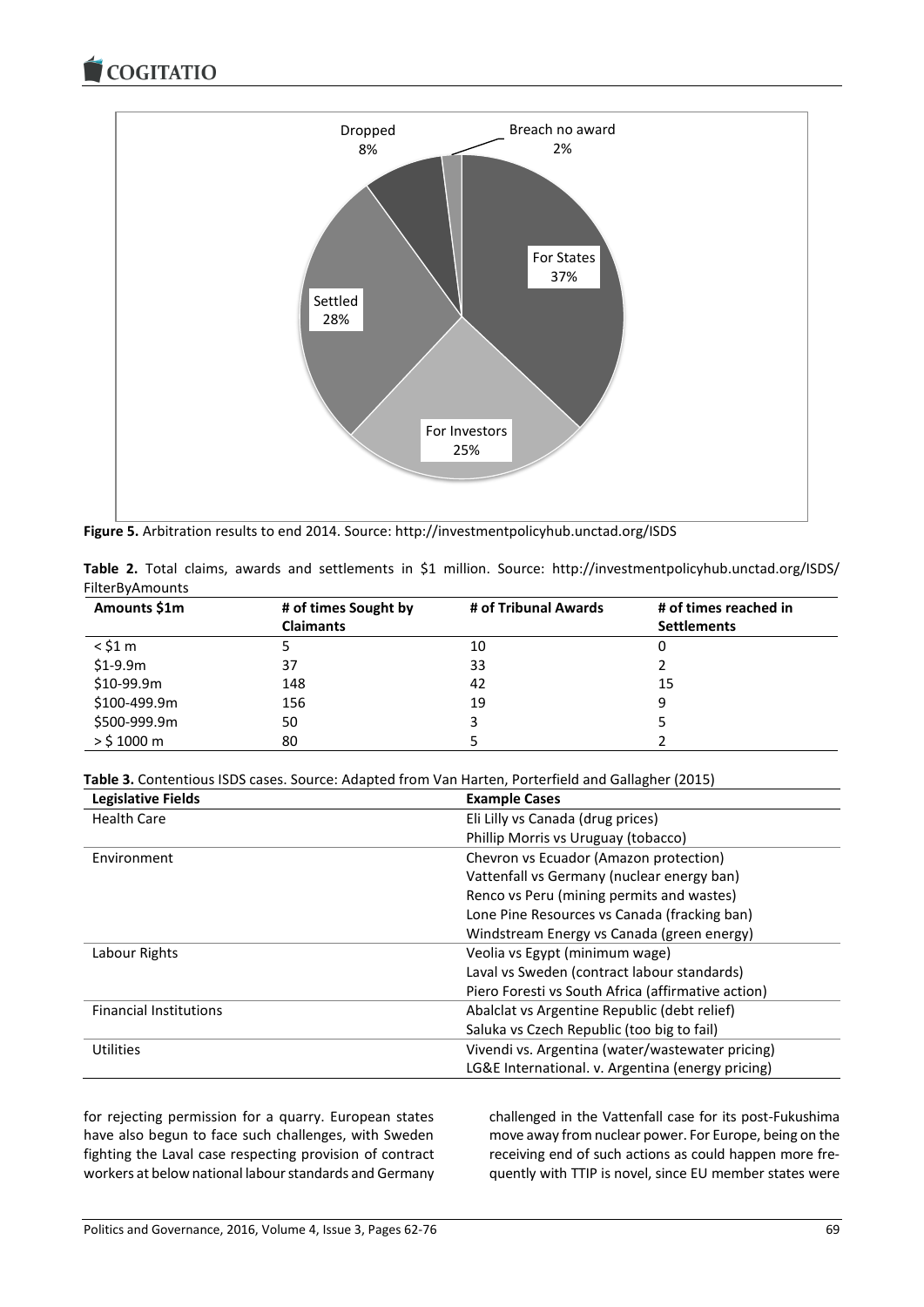COGITATIO



**Figure 5.** Arbitration results to end 2014. Source: http://investmentpolicyhub.unctad.org/ISDS

|                 |  |  |  |  | Table 2. Total claims, awards and settlements in \$1 million. Source: http://investmentpolicyhub.unctad.org/ISDS/ |
|-----------------|--|--|--|--|-------------------------------------------------------------------------------------------------------------------|
| FilterByAmounts |  |  |  |  |                                                                                                                   |

| Amounts \$1m | # of times Sought by<br><b>Claimants</b> | # of Tribunal Awards | # of times reached in<br><b>Settlements</b> |
|--------------|------------------------------------------|----------------------|---------------------------------------------|
| $<$ \$1 m    |                                          | 10                   |                                             |
| $$1-9.9m$    | 37                                       | 33                   |                                             |
| \$10-99.9m   | 148                                      | 42                   | 15                                          |
| \$100-499.9m | 156                                      | 19                   |                                             |
| \$500-999.9m | 50                                       | 3                    |                                             |
| $>$ \$1000 m | 80                                       |                      |                                             |

**Table 3.** Contentious ISDS cases. Source: Adapted from Van Harten, Porterfield and Gallagher (2015)

| <b>Legislative Fields</b>     | <b>Example Cases</b>                               |  |  |
|-------------------------------|----------------------------------------------------|--|--|
| <b>Health Care</b>            | Eli Lilly vs Canada (drug prices)                  |  |  |
|                               | Phillip Morris vs Uruguay (tobacco)                |  |  |
| Environment                   | Chevron vs Ecuador (Amazon protection)             |  |  |
|                               | Vattenfall vs Germany (nuclear energy ban)         |  |  |
|                               | Renco vs Peru (mining permits and wastes)          |  |  |
|                               | Lone Pine Resources vs Canada (fracking ban)       |  |  |
|                               | Windstream Energy vs Canada (green energy)         |  |  |
| Labour Rights                 | Veolia vs Egypt (minimum wage)                     |  |  |
|                               | Laval vs Sweden (contract labour standards)        |  |  |
|                               | Piero Foresti vs South Africa (affirmative action) |  |  |
| <b>Financial Institutions</b> | Abalclat vs Argentine Republic (debt relief)       |  |  |
|                               | Saluka vs Czech Republic (too big to fail)         |  |  |
| <b>Utilities</b>              | Vivendi vs. Argentina (water/wastewater pricing)   |  |  |
|                               | LG&E International. v. Argentina (energy pricing)  |  |  |

for rejecting permission for a quarry. European states have also begun to face such challenges, with Sweden fighting the Laval case respecting provision of contract workers at below national labour standards and Germany challenged in the Vattenfall case for its post-Fukushima move away from nuclear power. For Europe, being on the receiving end of such actions as could happen more frequently with TTIP is novel, since EU member states were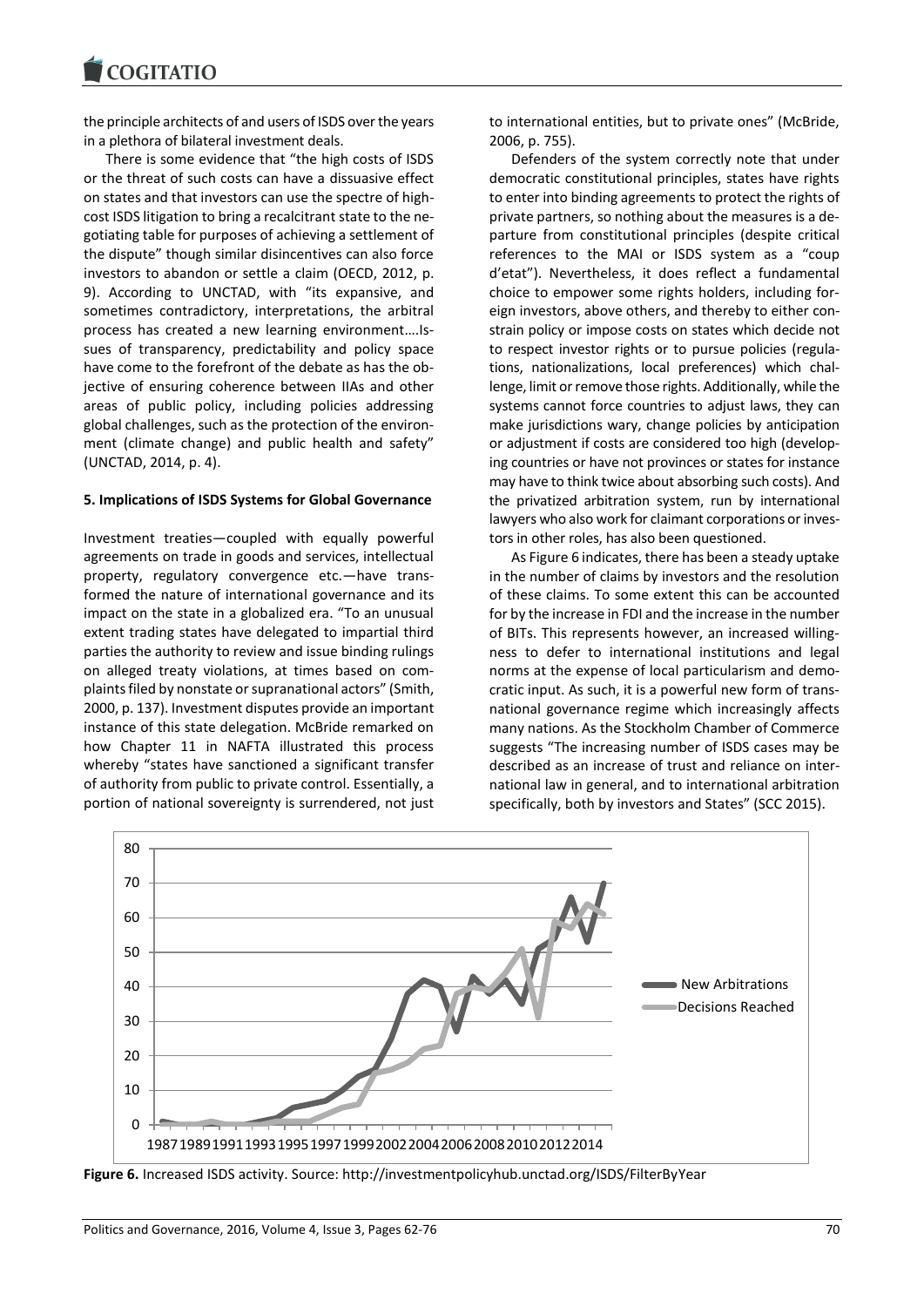the principle architects of and users of ISDS over the years in a plethora of bilateral investment deals.

There is some evidence that "the high costs of ISDS or the threat of such costs can have a dissuasive effect on states and that investors can use the spectre of highcost ISDS litigation to bring a recalcitrant state to the negotiating table for purposes of achieving a settlement of the dispute" though similar disincentives can also force investors to abandon or settle a claim (OECD, 2012, p. 9). According to UNCTAD, with "its expansive, and sometimes contradictory, interpretations, the arbitral process has created a new learning environment….Issues of transparency, predictability and policy space have come to the forefront of the debate as has the objective of ensuring coherence between IIAs and other areas of public policy, including policies addressing global challenges, such as the protection of the environment (climate change) and public health and safety" (UNCTAD, 2014, p. 4).

#### **5. Implications of ISDS Systems for Global Governance**

Investment treaties—coupled with equally powerful agreements on trade in goods and services, intellectual property, regulatory convergence etc.—have transformed the nature of international governance and its impact on the state in a globalized era. "To an unusual extent trading states have delegated to impartial third parties the authority to review and issue binding rulings on alleged treaty violations, at times based on complaints filed by nonstate or supranational actors" (Smith, 2000, p. 137). Investment disputes provide an important instance of this state delegation. McBride remarked on how Chapter 11 in NAFTA illustrated this process whereby "states have sanctioned a significant transfer of authority from public to private control. Essentially, a portion of national sovereignty is surrendered, not just to international entities, but to private ones" (McBride, 2006, p. 755).

Defenders of the system correctly note that under democratic constitutional principles, states have rights to enter into binding agreements to protect the rights of private partners, so nothing about the measures is a departure from constitutional principles (despite critical references to the MAI or ISDS system as a "coup d'etat"). Nevertheless, it does reflect a fundamental choice to empower some rights holders, including foreign investors, above others, and thereby to either constrain policy or impose costs on states which decide not to respect investor rights or to pursue policies (regulations, nationalizations, local preferences) which challenge, limit or remove those rights. Additionally, while the systems cannot force countries to adjust laws, they can make jurisdictions wary, change policies by anticipation or adjustment if costs are considered too high (developing countries or have not provinces or states for instance may have to think twice about absorbing such costs). And the privatized arbitration system, run by international lawyers who also work for claimant corporations or investors in other roles, has also been questioned.

As Figure 6 indicates, there has been a steady uptake in the number of claims by investors and the resolution of these claims. To some extent this can be accounted for by the increase in FDI and the increase in the number of BITs. This represents however, an increased willingness to defer to international institutions and legal norms at the expense of local particularism and democratic input. As such, it is a powerful new form of transnational governance regime which increasingly affects many nations. As the Stockholm Chamber of Commerce suggests "The increasing number of ISDS cases may be described as an increase of trust and reliance on international law in general, and to international arbitration specifically, both by investors and States" (SCC 2015).



**Figure 6.** Increased ISDS activity. Source: http://investmentpolicyhub.unctad.org/ISDS/FilterByYear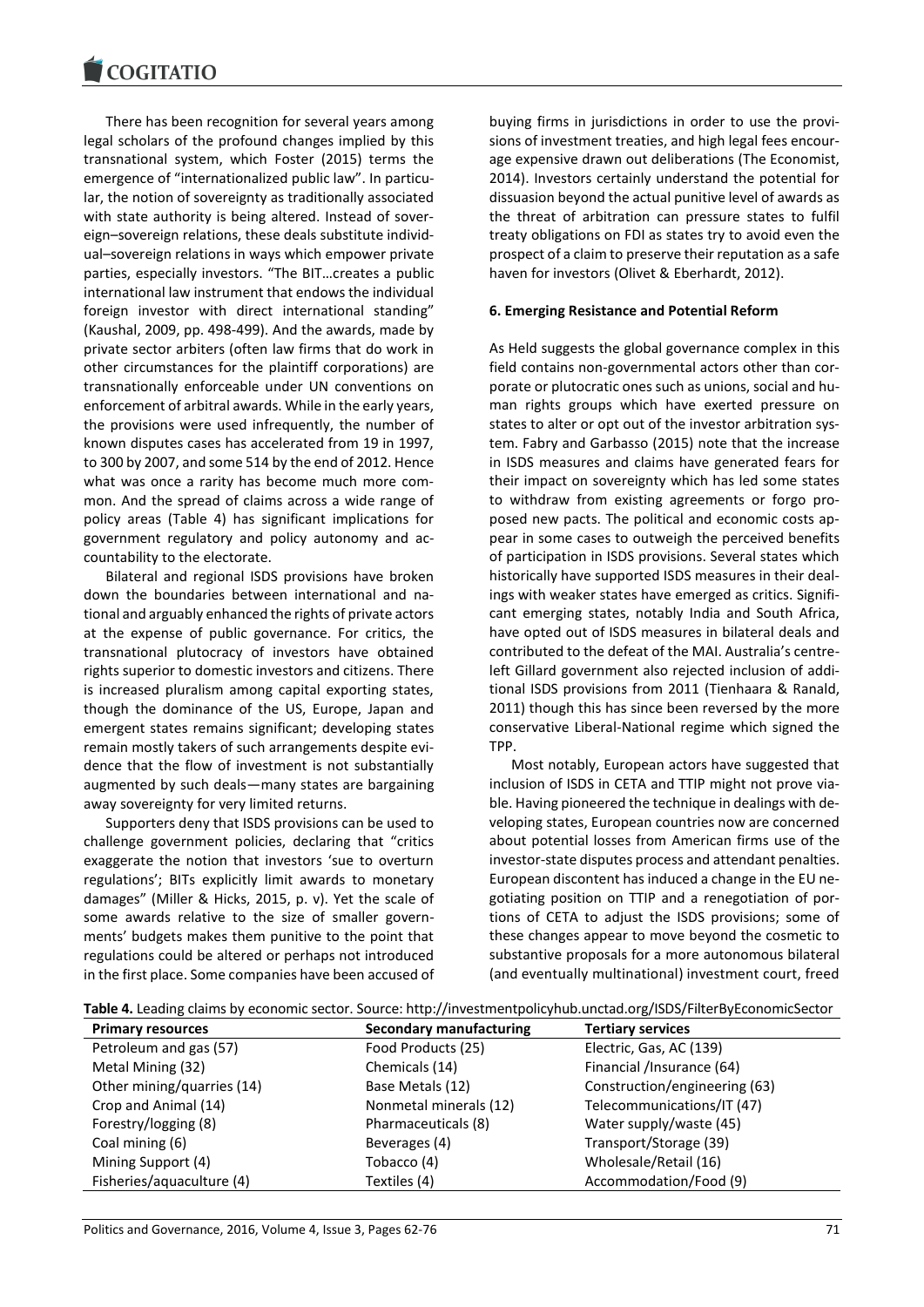There has been recognition for several years among legal scholars of the profound changes implied by this transnational system, which Foster (2015) terms the emergence of "internationalized public law". In particular, the notion of sovereignty as traditionally associated with state authority is being altered. Instead of sovereign–sovereign relations, these deals substitute individual–sovereign relations in ways which empower private parties, especially investors. "The BIT…creates a public international law instrument that endows the individual foreign investor with direct international standing" (Kaushal, 2009, pp. 498-499). And the awards, made by private sector arbiters (often law firms that do work in other circumstances for the plaintiff corporations) are transnationally enforceable under UN conventions on enforcement of arbitral awards. While in the early years, the provisions were used infrequently, the number of known disputes cases has accelerated from 19 in 1997, to 300 by 2007, and some 514 by the end of 2012. Hence what was once a rarity has become much more common. And the spread of claims across a wide range of policy areas (Table 4) has significant implications for government regulatory and policy autonomy and accountability to the electorate.

Bilateral and regional ISDS provisions have broken down the boundaries between international and national and arguably enhanced the rights of private actors at the expense of public governance. For critics, the transnational plutocracy of investors have obtained rights superior to domestic investors and citizens. There is increased pluralism among capital exporting states, though the dominance of the US, Europe, Japan and emergent states remains significant; developing states remain mostly takers of such arrangements despite evidence that the flow of investment is not substantially augmented by such deals—many states are bargaining away sovereignty for very limited returns.

Supporters deny that ISDS provisions can be used to challenge government policies, declaring that "critics exaggerate the notion that investors 'sue to overturn regulations'; BITs explicitly limit awards to monetary damages" (Miller & Hicks, 2015, p. v). Yet the scale of some awards relative to the size of smaller governments' budgets makes them punitive to the point that regulations could be altered or perhaps not introduced in the first place. Some companies have been accused of

buying firms in jurisdictions in order to use the provisions of investment treaties, and high legal fees encourage expensive drawn out deliberations (The Economist, 2014). Investors certainly understand the potential for dissuasion beyond the actual punitive level of awards as the threat of arbitration can pressure states to fulfil treaty obligations on FDI as states try to avoid even the prospect of a claim to preserve their reputation as a safe haven for investors (Olivet & Eberhardt, 2012).

#### **6. Emerging Resistance and Potential Reform**

As Held suggests the global governance complex in this field contains non-governmental actors other than corporate or plutocratic ones such as unions, social and human rights groups which have exerted pressure on states to alter or opt out of the investor arbitration system. Fabry and Garbasso (2015) note that the increase in ISDS measures and claims have generated fears for their impact on sovereignty which has led some states to withdraw from existing agreements or forgo proposed new pacts. The political and economic costs appear in some cases to outweigh the perceived benefits of participation in ISDS provisions. Several states which historically have supported ISDS measures in their dealings with weaker states have emerged as critics. Significant emerging states, notably India and South Africa, have opted out of ISDS measures in bilateral deals and contributed to the defeat of the MAI. Australia's centreleft Gillard government also rejected inclusion of additional ISDS provisions from 2011 (Tienhaara & Ranald, 2011) though this has since been reversed by the more conservative Liberal-National regime which signed the TPP.

Most notably, European actors have suggested that inclusion of ISDS in CETA and TTIP might not prove viable. Having pioneered the technique in dealings with developing states, European countries now are concerned about potential losses from American firms use of the investor-state disputes process and attendant penalties. European discontent has induced a change in the EU negotiating position on TTIP and a renegotiation of portions of CETA to adjust the ISDS provisions; some of these changes appear to move beyond the cosmetic to substantive proposals for a more autonomous bilateral (and eventually multinational) investment court, freed

| Table 4. Leading claims by economic sector. Source: http://investmentpolicyhub.unctad.org/ISDS/FilterByEconomicSector |  |  |
|-----------------------------------------------------------------------------------------------------------------------|--|--|
|-----------------------------------------------------------------------------------------------------------------------|--|--|

| <b>Primary resources</b>   | Secondary manufacturing | <b>Tertiary services</b>      |
|----------------------------|-------------------------|-------------------------------|
| Petroleum and gas (57)     | Food Products (25)      | Electric, Gas, AC (139)       |
| Metal Mining (32)          | Chemicals (14)          | Financial /Insurance (64)     |
| Other mining/quarries (14) | Base Metals (12)        | Construction/engineering (63) |
| Crop and Animal (14)       | Nonmetal minerals (12)  | Telecommunications/IT (47)    |
| Forestry/logging (8)       | Pharmaceuticals (8)     | Water supply/waste (45)       |
| Coal mining (6)            | Beverages (4)           | Transport/Storage (39)        |
| Mining Support (4)         | Tobacco (4)             | Wholesale/Retail (16)         |
| Fisheries/aquaculture (4)  | Textiles (4)            | Accommodation/Food (9)        |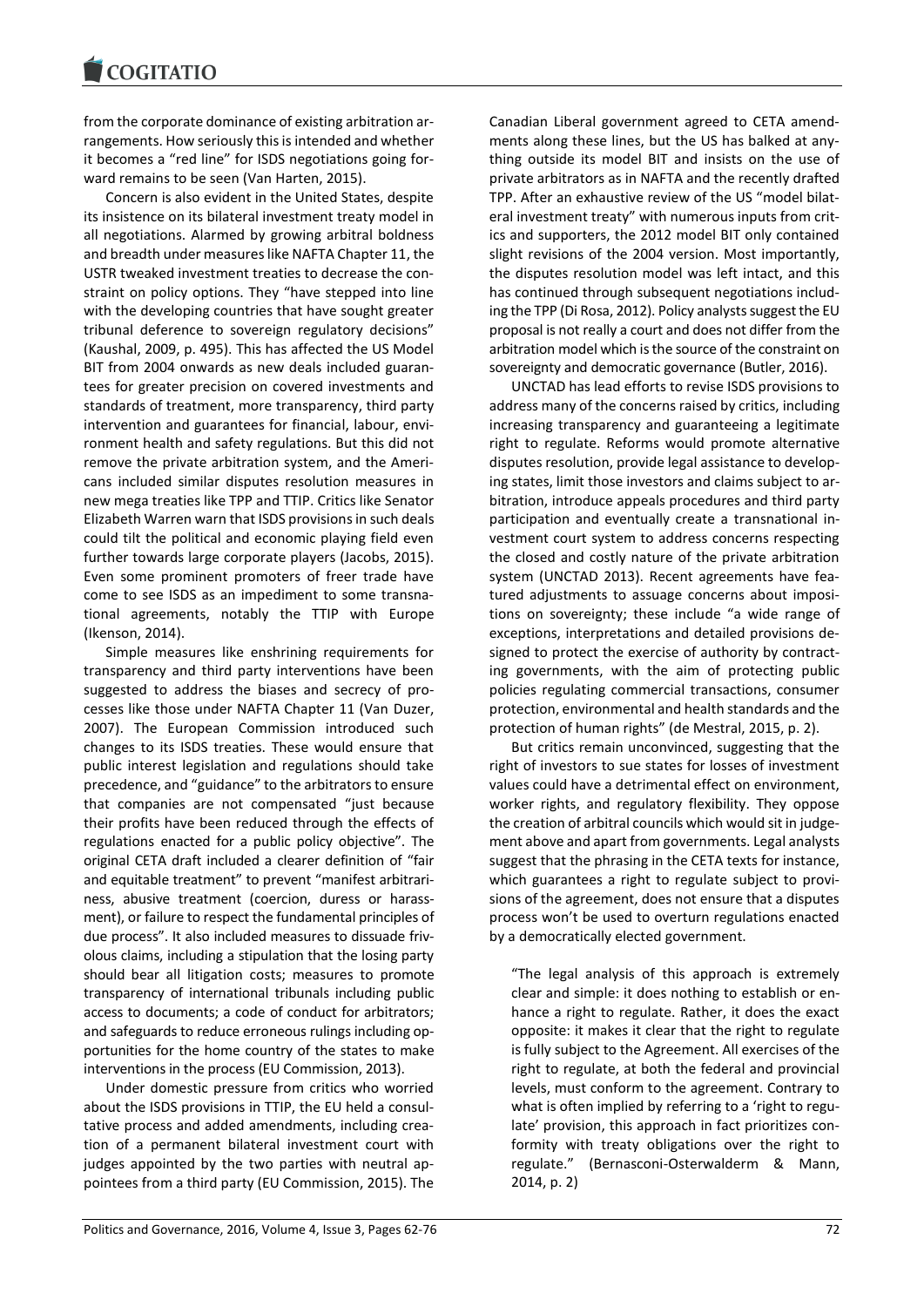from the corporate dominance of existing arbitration arrangements. How seriously this is intended and whether it becomes a "red line" for ISDS negotiations going forward remains to be seen (Van Harten, 2015).

Concern is also evident in the United States, despite its insistence on its bilateral investment treaty model in all negotiations. Alarmed by growing arbitral boldness and breadth under measures like NAFTA Chapter 11, the USTR tweaked investment treaties to decrease the constraint on policy options. They "have stepped into line with the developing countries that have sought greater tribunal deference to sovereign regulatory decisions" (Kaushal, 2009, p. 495). This has affected the US Model BIT from 2004 onwards as new deals included guarantees for greater precision on covered investments and standards of treatment, more transparency, third party intervention and guarantees for financial, labour, environment health and safety regulations. But this did not remove the private arbitration system, and the Americans included similar disputes resolution measures in new mega treaties like TPP and TTIP. Critics like Senator Elizabeth Warren warn that ISDS provisions in such deals could tilt the political and economic playing field even further towards large corporate players (Jacobs, 2015). Even some prominent promoters of freer trade have come to see ISDS as an impediment to some transnational agreements, notably the TTIP with Europe (Ikenson, 2014).

Simple measures like enshrining requirements for transparency and third party interventions have been suggested to address the biases and secrecy of processes like those under NAFTA Chapter 11 (Van Duzer, 2007). The European Commission introduced such changes to its ISDS treaties. These would ensure that public interest legislation and regulations should take precedence, and "guidance" to the arbitrators to ensure that companies are not compensated "just because their profits have been reduced through the effects of regulations enacted for a public policy objective". The original CETA draft included a clearer definition of "fair and equitable treatment" to prevent "manifest arbitrariness, abusive treatment (coercion, duress or harassment), or failure to respect the fundamental principles of due process". It also included measures to dissuade frivolous claims, including a stipulation that the losing party should bear all litigation costs; measures to promote transparency of international tribunals including public access to documents; a code of conduct for arbitrators; and safeguards to reduce erroneous rulings including opportunities for the home country of the states to make interventions in the process (EU Commission, 2013).

Under domestic pressure from critics who worried about the ISDS provisions in TTIP, the EU held a consultative process and added amendments, including creation of a permanent bilateral investment court with judges appointed by the two parties with neutral appointees from a third party (EU Commission, 2015). The

Canadian Liberal government agreed to CETA amendments along these lines, but the US has balked at anything outside its model BIT and insists on the use of private arbitrators as in NAFTA and the recently drafted TPP. After an exhaustive review of the US "model bilateral investment treaty" with numerous inputs from critics and supporters, the 2012 model BIT only contained slight revisions of the 2004 version. Most importantly, the disputes resolution model was left intact, and this has continued through subsequent negotiations including the TPP (Di Rosa, 2012). Policy analysts suggest the EU proposal is not really a court and does not differ from the arbitration model which is the source of the constraint on sovereignty and democratic governance (Butler, 2016).

UNCTAD has lead efforts to revise ISDS provisions to address many of the concerns raised by critics, including increasing transparency and guaranteeing a legitimate right to regulate. Reforms would promote alternative disputes resolution, provide legal assistance to developing states, limit those investors and claims subject to arbitration, introduce appeals procedures and third party participation and eventually create a transnational investment court system to address concerns respecting the closed and costly nature of the private arbitration system (UNCTAD 2013). Recent agreements have featured adjustments to assuage concerns about impositions on sovereignty; these include "a wide range of exceptions, interpretations and detailed provisions designed to protect the exercise of authority by contracting governments, with the aim of protecting public policies regulating commercial transactions, consumer protection, environmental and health standards and the protection of human rights" (de Mestral, 2015, p. 2).

But critics remain unconvinced, suggesting that the right of investors to sue states for losses of investment values could have a detrimental effect on environment, worker rights, and regulatory flexibility. They oppose the creation of arbitral councils which would sit in judgement above and apart from governments. Legal analysts suggest that the phrasing in the CETA texts for instance, which guarantees a right to regulate subject to provisions of the agreement, does not ensure that a disputes process won't be used to overturn regulations enacted by a democratically elected government.

"The legal analysis of this approach is extremely clear and simple: it does nothing to establish or enhance a right to regulate. Rather, it does the exact opposite: it makes it clear that the right to regulate is fully subject to the Agreement. All exercises of the right to regulate, at both the federal and provincial levels, must conform to the agreement. Contrary to what is often implied by referring to a 'right to regulate' provision, this approach in fact prioritizes conformity with treaty obligations over the right to regulate." (Bernasconi-Osterwalderm & Mann, 2014, p. 2)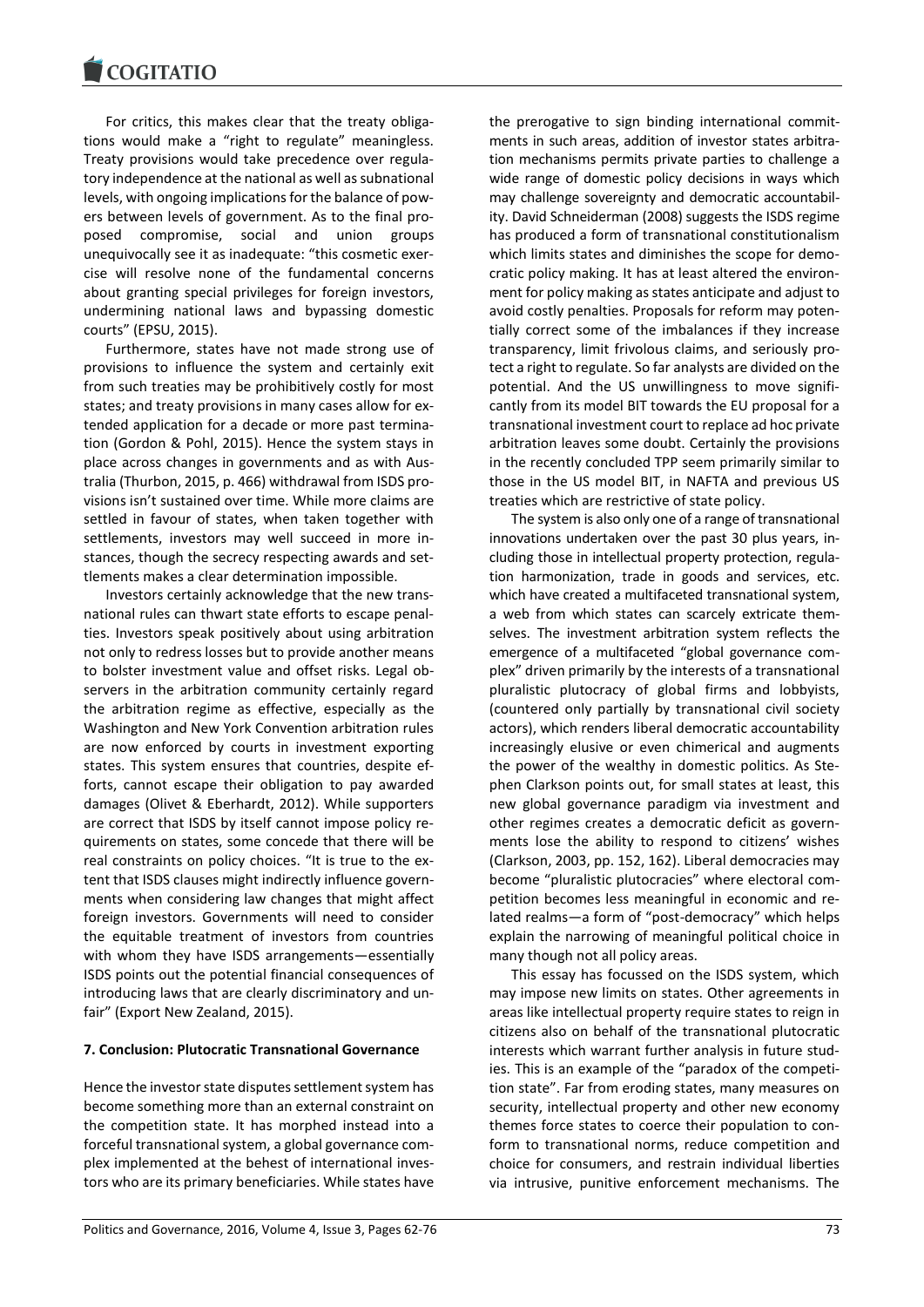For critics, this makes clear that the treaty obligations would make a "right to regulate" meaningless. Treaty provisions would take precedence over regulatory independence at the national as well as subnational levels, with ongoing implications for the balance of powers between levels of government. As to the final proposed compromise, social and union groups unequivocally see it as inadequate: "this cosmetic exercise will resolve none of the fundamental concerns about granting special privileges for foreign investors, undermining national laws and bypassing domestic courts" (EPSU, 2015).

Furthermore, states have not made strong use of provisions to influence the system and certainly exit from such treaties may be prohibitively costly for most states; and treaty provisions in many cases allow for extended application for a decade or more past termination (Gordon & Pohl, 2015). Hence the system stays in place across changes in governments and as with Australia (Thurbon, 2015, p. 466) withdrawal from ISDS provisions isn't sustained over time. While more claims are settled in favour of states, when taken together with settlements, investors may well succeed in more instances, though the secrecy respecting awards and settlements makes a clear determination impossible.

Investors certainly acknowledge that the new transnational rules can thwart state efforts to escape penalties. Investors speak positively about using arbitration not only to redress losses but to provide another means to bolster investment value and offset risks. Legal observers in the arbitration community certainly regard the arbitration regime as effective, especially as the Washington and New York Convention arbitration rules are now enforced by courts in investment exporting states. This system ensures that countries, despite efforts, cannot escape their obligation to pay awarded damages (Olivet & Eberhardt, 2012). While supporters are correct that ISDS by itself cannot impose policy requirements on states, some concede that there will be real constraints on policy choices. "It is true to the extent that ISDS clauses might indirectly influence governments when considering law changes that might affect foreign investors. Governments will need to consider the equitable treatment of investors from countries with whom they have ISDS arrangements—essentially ISDS points out the potential financial consequences of introducing laws that are clearly discriminatory and unfair" (Export New Zealand, 2015).

#### **7. Conclusion: Plutocratic Transnational Governance**

Hence the investor state disputes settlement system has become something more than an external constraint on the competition state. It has morphed instead into a forceful transnational system, a global governance complex implemented at the behest of international investors who are its primary beneficiaries. While states have

the prerogative to sign binding international commitments in such areas, addition of investor states arbitration mechanisms permits private parties to challenge a wide range of domestic policy decisions in ways which may challenge sovereignty and democratic accountability. David Schneiderman (2008) suggests the ISDS regime has produced a form of transnational constitutionalism which limits states and diminishes the scope for democratic policy making. It has at least altered the environment for policy making as states anticipate and adjust to avoid costly penalties. Proposals for reform may potentially correct some of the imbalances if they increase transparency, limit frivolous claims, and seriously protect a right to regulate. So far analysts are divided on the potential. And the US unwillingness to move significantly from its model BIT towards the EU proposal for a transnational investment court to replace ad hoc private arbitration leaves some doubt. Certainly the provisions in the recently concluded TPP seem primarily similar to those in the US model BIT, in NAFTA and previous US treaties which are restrictive of state policy.

The system is also only one of a range of transnational innovations undertaken over the past 30 plus years, including those in intellectual property protection, regulation harmonization, trade in goods and services, etc. which have created a multifaceted transnational system, a web from which states can scarcely extricate themselves. The investment arbitration system reflects the emergence of a multifaceted "global governance complex" driven primarily by the interests of a transnational pluralistic plutocracy of global firms and lobbyists, (countered only partially by transnational civil society actors), which renders liberal democratic accountability increasingly elusive or even chimerical and augments the power of the wealthy in domestic politics. As Stephen Clarkson points out, for small states at least, this new global governance paradigm via investment and other regimes creates a democratic deficit as governments lose the ability to respond to citizens' wishes (Clarkson, 2003, pp. 152, 162). Liberal democracies may become "pluralistic plutocracies" where electoral competition becomes less meaningful in economic and related realms—a form of "post-democracy" which helps explain the narrowing of meaningful political choice in many though not all policy areas.

This essay has focussed on the ISDS system, which may impose new limits on states. Other agreements in areas like intellectual property require states to reign in citizens also on behalf of the transnational plutocratic interests which warrant further analysis in future studies. This is an example of the "paradox of the competition state". Far from eroding states, many measures on security, intellectual property and other new economy themes force states to coerce their population to conform to transnational norms, reduce competition and choice for consumers, and restrain individual liberties via intrusive, punitive enforcement mechanisms. The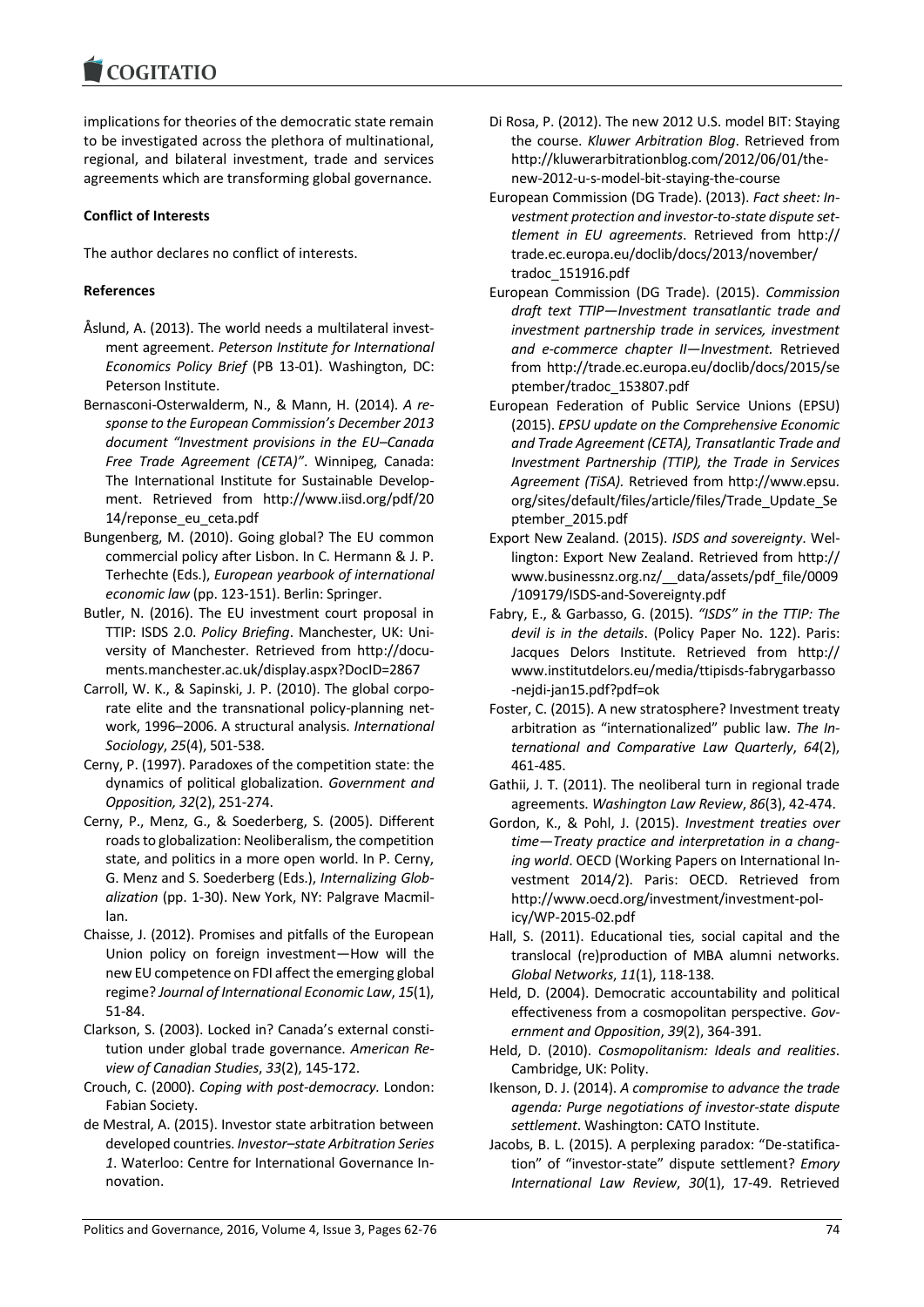implications for theories of the democratic state remain to be investigated across the plethora of multinational, regional, and bilateral investment, trade and services agreements which are transforming global governance.

# **Conflict of Interests**

The author declares no conflict of interests.

# **References**

- Åslund, A. (2013). The world needs a multilateral investment agreement. *Peterson Institute for International Economics Policy Brief* (PB 13-01). Washington, DC: Peterson Institute.
- Bernasconi-Osterwalderm, N., & Mann, H. (2014). *A response to the European Commission's December 2013 document "Investment provisions in the EU–Canada Free Trade Agreement (CETA)"*. Winnipeg, Canada: The International Institute for Sustainable Development. Retrieved from http://www.iisd.org/pdf/20 14/reponse\_eu\_ceta.pdf
- Bungenberg, M. (2010). Going global? The EU common commercial policy after Lisbon. In C. Hermann & J. P. Terhechte (Eds.), *European yearbook of international economic law* (pp. 123-151). Berlin: Springer.
- Butler, N. (2016). The EU investment court proposal in TTIP: ISDS 2.0. *Policy Briefing*. Manchester, UK: University of Manchester. Retrieved from http://documents.manchester.ac.uk/display.aspx?DocID=2867
- Carroll, W. K., & Sapinski, J. P. (2010). The global corporate elite and the transnational policy-planning network, 1996–2006. A structural analysis. *International Sociology*, *25*(4), 501-538.
- Cerny, P. (1997). Paradoxes of the competition state: the dynamics of political globalization. *Government and Opposition, 32*(2), 251-274.
- Cerny, P., Menz, G., & Soederberg, S. (2005). Different roads to globalization: Neoliberalism, the competition state, and politics in a more open world. In P. Cerny, G. Menz and S. Soederberg (Eds.), *Internalizing Globalization* (pp. 1-30). New York, NY: Palgrave Macmillan.
- Chaisse, J. (2012). Promises and pitfalls of the European Union policy on foreign investment—How will the new EU competence on FDI affect the emerging global regime? *Journal of International Economic Law*, *15*(1), 51-84.
- Clarkson, S. (2003). Locked in? Canada's external constitution under global trade governance. *American Review of Canadian Studies*, *33*(2), 145-172.
- Crouch, C. (2000). *Coping with post-democracy.* London: Fabian Society.
- de Mestral, A. (2015). Investor state arbitration between developed countries. *Investor–state Arbitration Series 1*. Waterloo: Centre for International Governance Innovation.
- Di Rosa, P. (2012). The new 2012 U.S. model BIT: Staying the course. *Kluwer Arbitration Blog*. Retrieved from http://kluwerarbitrationblog.com/2012/06/01/thenew-2012-u-s-model-bit-staying-the-course
- European Commission (DG Trade). (2013). *Fact sheet: Investment protection and investor-to-state dispute settlement in EU agreements*. Retrieved from http:// trade.ec.europa.eu/doclib/docs/2013/november/ tradoc\_151916.pdf
- European Commission (DG Trade). (2015). *Commission draft text TTIP—Investment transatlantic trade and investment partnership trade in services, investment and e-commerce chapter II—Investment.* Retrieved from http://trade.ec.europa.eu/doclib/docs/2015/se ptember/tradoc\_153807.pdf
- European Federation of Public Service Unions (EPSU) (2015). *EPSU update on the Comprehensive Economic and Trade Agreement (CETA), Transatlantic Trade and Investment Partnership (TTIP), the Trade in Services Agreement (TiSA).* Retrieved from http://www.epsu. org/sites/default/files/article/files/Trade\_Update\_Se ptember\_2015.pdf
- Export New Zealand. (2015). *ISDS and sovereignty*. Wellington: Export New Zealand. Retrieved from http:// www.businessnz.org.nz/\_\_data/assets/pdf\_file/0009 /109179/ISDS-and-Sovereignty.pdf
- Fabry, E., & Garbasso, G. (2015). *"ISDS" in the TTIP: The devil is in the details*. (Policy Paper No. 122). Paris: Jacques Delors Institute. Retrieved from http:// www.institutdelors.eu/media/ttipisds-fabrygarbasso -nejdi-jan15.pdf?pdf=ok
- Foster, C. (2015). A new stratosphere? Investment treaty arbitration as "internationalized" public law. *The International and Comparative Law Quarterly*, *64*(2), 461-485.
- Gathii, J. T. (2011). The neoliberal turn in regional trade agreements. *Washington Law Review*, *86*(3), 42-474.
- Gordon, K., & Pohl, J. (2015). *Investment treaties over time—Treaty practice and interpretation in a changing world*. OECD (Working Papers on International Investment 2014/2). Paris: OECD. Retrieved from http://www.oecd.org/investment/investment-policy/WP-2015-02.pdf
- Hall, S. (2011). Educational ties, social capital and the translocal (re)production of MBA alumni networks. *Global Networks*, *11*(1), 118-138.
- Held, D. (2004). Democratic accountability and political effectiveness from a cosmopolitan perspective. *Government and Opposition*, *39*(2), 364-391.
- Held, D. (2010). *Cosmopolitanism: Ideals and realities*. Cambridge, UK: Polity.
- Ikenson, D. J. (2014). *A compromise to advance the trade agenda: Purge negotiations of investor-state dispute settlement*. Washington: CATO Institute.
- Jacobs, B. L. (2015). A perplexing paradox: "De-statification" of "investor-state" dispute settlement? *Emory International Law Review*, *30*(1), 17-49. Retrieved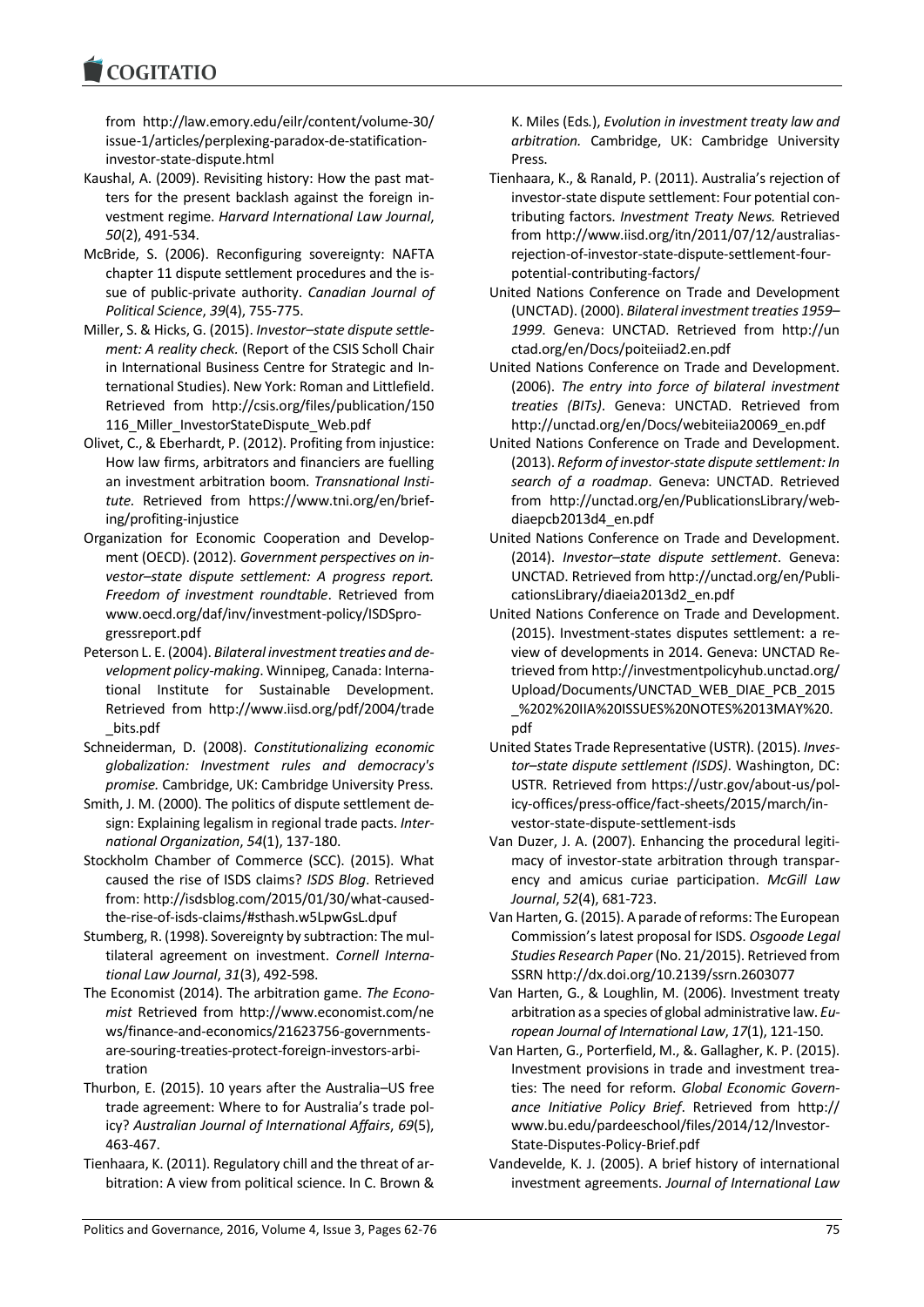from http://law.emory.edu/eilr/content/volume-30/ issue-1/articles/perplexing-paradox-de-statificationinvestor-state-dispute.html

- Kaushal, A. (2009). Revisiting history: How the past matters for the present backlash against the foreign investment regime. *Harvard International Law Journal*, *50*(2), 491-534.
- McBride, S. (2006). Reconfiguring sovereignty: NAFTA chapter 11 dispute settlement procedures and the issue of public-private authority. *Canadian Journal of Political Science*, *39*(4), 755-775.
- Miller, S. & Hicks, G. (2015). *Investor–state dispute settlement: A reality check.* (Report of the CSIS Scholl Chair in International Business Centre for Strategic and International Studies). New York: Roman and Littlefield. Retrieved from http://csis.org/files/publication/150 116 Miller InvestorStateDispute Web.pdf
- Olivet, C., & Eberhardt, P. (2012). Profiting from injustice: How law firms, arbitrators and financiers are fuelling an investment arbitration boom. *Transnational Institute.* Retrieved from https://www.tni.org/en/briefing/profiting-injustice
- Organization for Economic Cooperation and Development (OECD). (2012). *Government perspectives on investor–state dispute settlement: A progress report. Freedom of investment roundtable*. Retrieved from www.oecd.org/daf/inv/investment-policy/ISDSprogressreport.pdf
- Peterson L. E. (2004). *Bilateral investment treaties and development policy-making*. Winnipeg, Canada: International Institute for Sustainable Development. Retrieved from http://www.iisd.org/pdf/2004/trade \_bits.pdf
- Schneiderman, D. (2008). *Constitutionalizing economic globalization: Investment rules and democracy's promise.* Cambridge, UK: Cambridge University Press.
- Smith, J. M. (2000). The politics of dispute settlement design: Explaining legalism in regional trade pacts. *International Organization*, *54*(1), 137-180.
- Stockholm Chamber of Commerce (SCC). (2015). What caused the rise of ISDS claims? *ISDS Blog*. Retrieved from: http://isdsblog.com/2015/01/30/what-causedthe-rise-of-isds-claims/#sthash.w5LpwGsL.dpuf
- Stumberg, R. (1998). Sovereignty by subtraction: The multilateral agreement on investment. *Cornell International Law Journal*, *31*(3), 492-598.
- The Economist (2014). The arbitration game. *The Economist* Retrieved from http://www.economist.com/ne ws/finance-and-economics/21623756-governmentsare-souring-treaties-protect-foreign-investors-arbitration
- Thurbon, E. (2015). 10 years after the Australia–US free trade agreement: Where to for Australia's trade policy? *Australian Journal of International Affairs*, *69*(5), 463-467.
- Tienhaara, K. (2011). Regulatory chill and the threat of arbitration: A view from political science. In C. Brown &

K. Miles (Eds*.*), *Evolution in investment treaty law and arbitration.* Cambridge, UK: Cambridge University Press.

- Tienhaara, K., & Ranald, P. (2011). Australia's rejection of investor-state dispute settlement: Four potential contributing factors. *Investment Treaty News.* Retrieved from http://www.iisd.org/itn/2011/07/12/australiasrejection-of-investor-state-dispute-settlement-fourpotential-contributing-factors/
- United Nations Conference on Trade and Development (UNCTAD). (2000). *Bilateral investment treaties 1959– 1999*. Geneva: UNCTAD. Retrieved from http://un ctad.org/en/Docs/poiteiiad2.en.pdf
- United Nations Conference on Trade and Development. (2006). *The entry into force of bilateral investment treaties (BITs)*. Geneva: UNCTAD. Retrieved from http://unctad.org/en/Docs/webiteiia20069\_en.pdf
- United Nations Conference on Trade and Development. (2013). *Reform of investor-state dispute settlement: In search of a roadmap*. Geneva: UNCTAD. Retrieved from http://unctad.org/en/PublicationsLibrary/webdiaepcb2013d4\_en.pdf
- United Nations Conference on Trade and Development. (2014). *Investor–state dispute settlement*. Geneva: UNCTAD. Retrieved from http://unctad.org/en/PublicationsLibrary/diaeia2013d2\_en.pdf
- United Nations Conference on Trade and Development. (2015). Investment-states disputes settlement: a review of developments in 2014. Geneva: UNCTAD Retrieved from http://investmentpolicyhub.unctad.org/ Upload/Documents/UNCTAD\_WEB\_DIAE\_PCB\_2015 \_%202%20IIA%20ISSUES%20NOTES%2013MAY%20. pdf
- United States Trade Representative (USTR). (2015). *Investor–state dispute settlement (ISDS)*. Washington, DC: USTR. Retrieved from https://ustr.gov/about-us/policy-offices/press-office/fact-sheets/2015/march/investor-state-dispute-settlement-isds
- Van Duzer, J. A. (2007). Enhancing the procedural legitimacy of investor-state arbitration through transparency and amicus curiae participation. *McGill Law Journal*, *52*(4), 681-723.
- Van Harten, G. (2015). A parade of reforms: The European Commission's latest proposal for ISDS. *Osgoode Legal Studies Research Paper*(No. 21/2015). Retrieved from SSRN http://dx.doi.org/10.2139/ssrn.2603077
- Van Harten, G., & Loughlin, M. (2006). Investment treaty arbitration as a species of global administrative law. *European Journal of International Law*, *17*(1), 121-150.
- Van Harten, G., Porterfield, M., &. Gallagher, K. P. (2015). Investment provisions in trade and investment treaties: The need for reform. *Global Economic Governance Initiative Policy Brief*. Retrieved from http:// www.bu.edu/pardeeschool/files/2014/12/Investor-State-Disputes-Policy-Brief.pdf
- Vandevelde, K. J. (2005). A brief history of international investment agreements. *Journal of International Law*